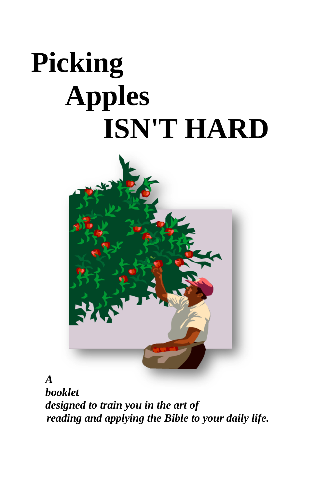# **Picking Apples ISN'T HARD**



*A booklet designed to train you in the art of reading and applying the Bible to your daily life.*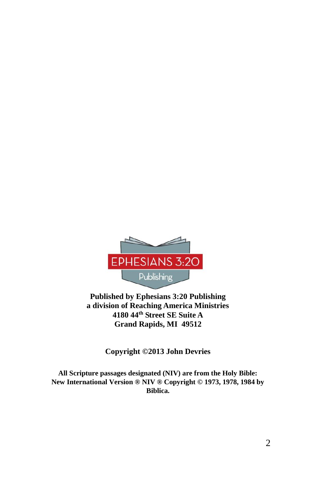

**Published by Ephesians 3:20 Publishing a division of Reaching America Ministries 4180 44th Street SE Suite A Grand Rapids, MI 49512**

**Copyright ©2013 John Devries**

**All Scripture passages designated (NIV) are from the Holy Bible: New International Version ® NIV ® Copyright © 1973, 1978, 1984 by Biblica.**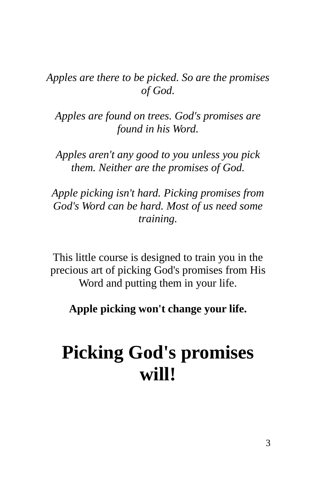*Apples are there to be picked. So are the promises of God.*

*Apples are found on trees. God's promises are found in his Word.*

*Apples aren't any good to you unless you pick them. Neither are the promises of God.*

*Apple picking isn't hard. Picking promises from God's Word can be hard. Most of us need some training.*

This little course is designed to train you in the precious art of picking God's promises from His Word and putting them in your life.

**Apple picking won't change your life.**

# **Picking God's promises will!**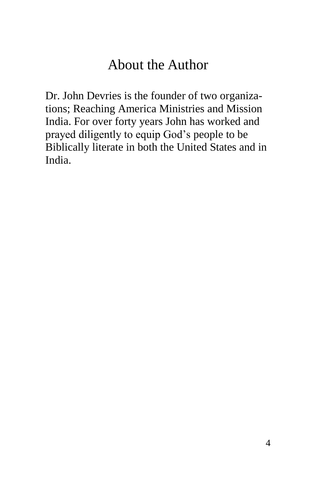# About the Author

Dr. John Devries is the founder of two organizations; Reaching America Ministries and Mission India. For over forty years John has worked and prayed diligently to equip God's people to be Biblically literate in both the United States and in India.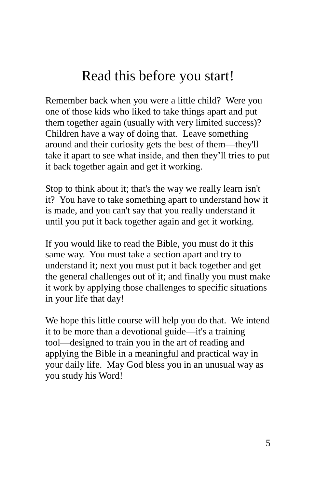# Read this before you start!

Remember back when you were a little child? Were you one of those kids who liked to take things apart and put them together again (usually with very limited success)? Children have a way of doing that. Leave something around and their curiosity gets the best of them—they'll take it apart to see what inside, and then they'll tries to put it back together again and get it working.

Stop to think about it; that's the way we really learn isn't it? You have to take something apart to understand how it is made, and you can't say that you really understand it until you put it back together again and get it working.

If you would like to read the Bible, you must do it this same way. You must take a section apart and try to understand it; next you must put it back together and get the general challenges out of it; and finally you must make it work by applying those challenges to specific situations in your life that day!

We hope this little course will help you do that. We intend it to be more than a devotional guide—it's a training tool—designed to train you in the art of reading and applying the Bible in a meaningful and practical way in your daily life. May God bless you in an unusual way as you study his Word!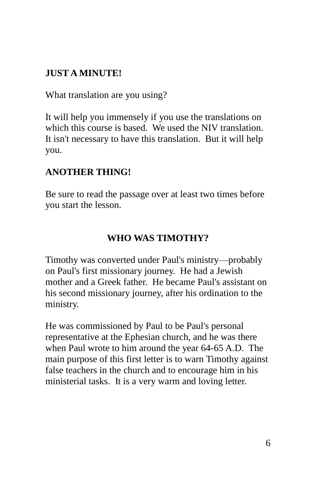#### **JUST A MINUTE!**

What translation are you using?

It will help you immensely if you use the translations on which this course is based. We used the NIV translation. It isn't necessary to have this translation. But it will help you.

#### **ANOTHER THING!**

Be sure to read the passage over at least two times before you start the lesson.

#### **WHO WAS TIMOTHY?**

Timothy was converted under Paul's ministry—probably on Paul's first missionary journey. He had a Jewish mother and a Greek father. He became Paul's assistant on his second missionary journey, after his ordination to the ministry.

He was commissioned by Paul to be Paul's personal representative at the Ephesian church, and he was there when Paul wrote to him around the year 64-65 A.D. The main purpose of this first letter is to warn Timothy against false teachers in the church and to encourage him in his ministerial tasks. It is a very warm and loving letter.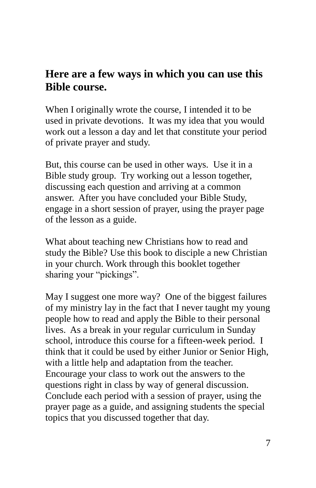#### **Here are a few ways in which you can use this Bible course.**

When I originally wrote the course, I intended it to be used in private devotions. It was my idea that you would work out a lesson a day and let that constitute your period of private prayer and study.

But, this course can be used in other ways. Use it in a Bible study group. Try working out a lesson together, discussing each question and arriving at a common answer. After you have concluded your Bible Study, engage in a short session of prayer, using the prayer page of the lesson as a guide.

What about teaching new Christians how to read and study the Bible? Use this book to disciple a new Christian in your church. Work through this booklet together sharing your "pickings".

May I suggest one more way? One of the biggest failures of my ministry lay in the fact that I never taught my young people how to read and apply the Bible to their personal lives. As a break in your regular curriculum in Sunday school, introduce this course for a fifteen-week period. I think that it could be used by either Junior or Senior High, with a little help and adaptation from the teacher. Encourage your class to work out the answers to the questions right in class by way of general discussion. Conclude each period with a session of prayer, using the prayer page as a guide, and assigning students the special topics that you discussed together that day.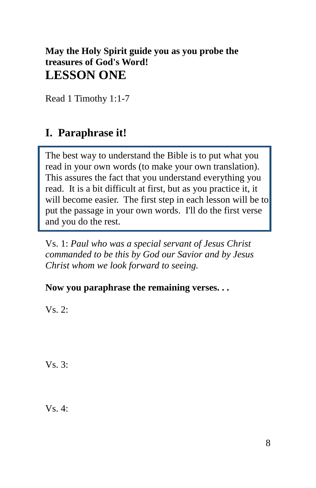#### **May the Holy Spirit guide you as you probe the treasures of God's Word! LESSON ONE**

Read 1 Timothy 1:1-7

## **I. Paraphrase it!**

The best way to understand the Bible is to put what you read in your own words (to make your own translation). This assures the fact that you understand everything you read. It is a bit difficult at first, but as you practice it, it will become easier. The first step in each lesson will be to put the passage in your own words. I'll do the first verse and you do the rest.

Vs. 1: *Paul who was a special servant of Jesus Christ commanded to be this by God our Savior and by Jesus Christ whom we look forward to seeing.*

#### **Now you paraphrase the remaining verses. . .**

Vs. 2:

Vs. 3:

 $Vs_4$ :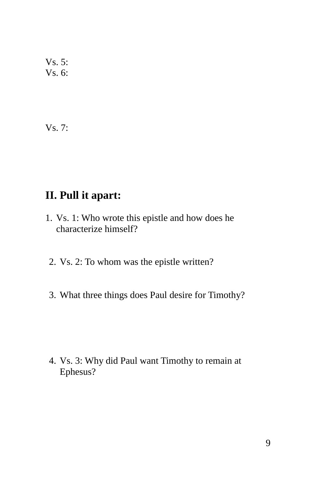Vs. 5: Vs. 6:

Vs. 7:

## **II. Pull it apart:**

- 1. Vs. 1: Who wrote this epistle and how does he characterize himself?
- 2. Vs. 2: To whom was the epistle written?
- 3. What three things does Paul desire for Timothy?

4. Vs. 3: Why did Paul want Timothy to remain at Ephesus?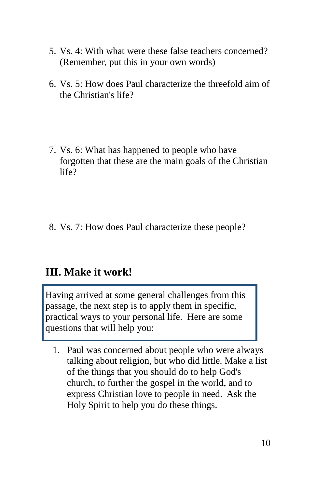- 5. Vs. 4: With what were these false teachers concerned? (Remember, put this in your own words)
- 6. Vs. 5: How does Paul characterize the threefold aim of the Christian's life?
- 7. Vs. 6: What has happened to people who have forgotten that these are the main goals of the Christian life?
- 8. Vs. 7: How does Paul characterize these people?

## **III. Make it work!**

Having arrived at some general challenges from this passage, the next step is to apply them in specific, practical ways to your personal life. Here are some questions that will help you:

1. Paul was concerned about people who were always talking about religion, but who did little. Make a list of the things that you should do to help God's church, to further the gospel in the world, and to express Christian love to people in need. Ask the Holy Spirit to help you do these things.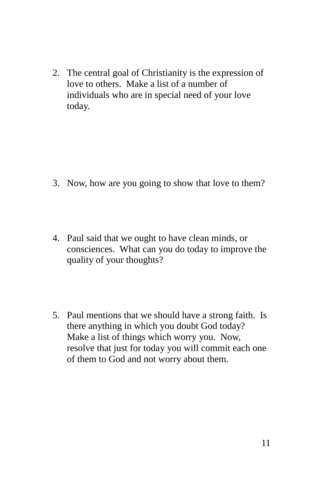2. The central goal of Christianity is the expression of love to others. Make a list of a number of individuals who are in special need of your love today.

- 3. Now, how are you going to show that love to them?
- 4. Paul said that we ought to have clean minds, or consciences. What can you do today to improve the quality of your thoughts?
- 5. Paul mentions that we should have a strong faith. Is there anything in which you doubt God today? Make a list of things which worry you. Now, resolve that just for today you will commit each one of them to God and not worry about them.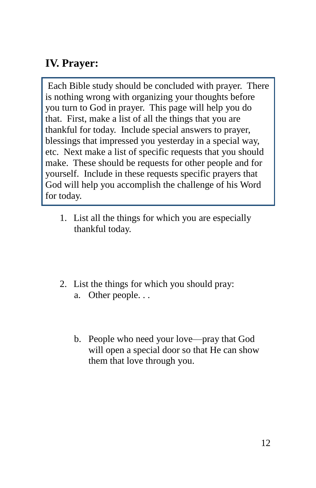## **IV. Prayer:**

Each Bible study should be concluded with prayer. There is nothing wrong with organizing your thoughts before you turn to God in prayer. This page will help you do that. First, make a list of all the things that you are thankful for today. Include special answers to prayer, blessings that impressed you yesterday in a special way, etc. Next make a list of specific requests that you should make. These should be requests for other people and for yourself. Include in these requests specific prayers that God will help you accomplish the challenge of his Word for today.

- 1. List all the things for which you are especially thankful today.
- 2. List the things for which you should pray:
	- a. Other people. . .
	- b. People who need your love—pray that God will open a special door so that He can show them that love through you.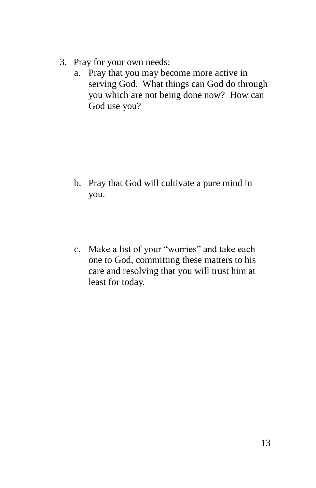- 3. Pray for your own needs:
	- a. Pray that you may become more active in serving God. What things can God do through you which are not being done now? How can God use you?

- b. Pray that God will cultivate a pure mind in you.
- c. Make a list of your "worries" and take each one to God, committing these matters to his care and resolving that you will trust him at least for today.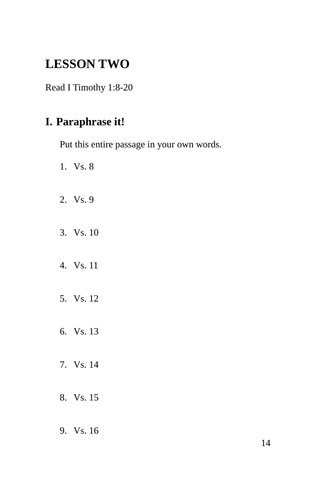## **LESSON TWO**

Read I Timothy 1:8-20

## **I. Paraphrase it!**

Put this entire passage in your own words.

- 1. Vs. 8
- 2. Vs. 9
- 3. Vs. 10
- 4. Vs. 11
- 5. Vs. 12
- 6. Vs. 13
- 7. Vs. 14
- 8. Vs. 15
- 9. Vs. 16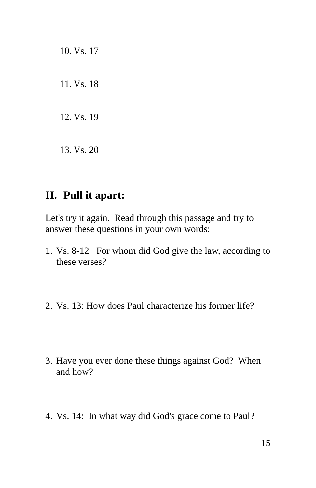10. Vs. 17 11. Vs. 18 12. Vs. 19 13. Vs. 20

## **II. Pull it apart:**

Let's try it again. Read through this passage and try to answer these questions in your own words:

- 1. Vs. 8-12 For whom did God give the law, according to these verses?
- 2. Vs. 13: How does Paul characterize his former life?
- 3. Have you ever done these things against God? When and how?
- 4. Vs. 14: In what way did God's grace come to Paul?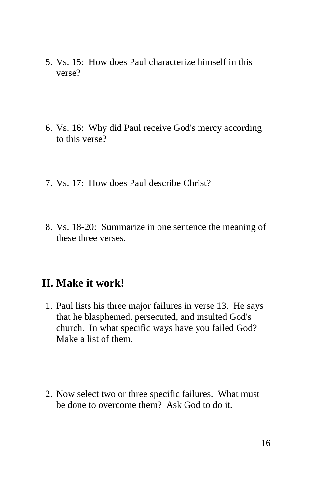- 5. Vs. 15: How does Paul characterize himself in this verse?
- 6. Vs. 16: Why did Paul receive God's mercy according to this verse?
- 7. Vs. 17: How does Paul describe Christ?
- 8. Vs. 18-20: Summarize in one sentence the meaning of these three verses.

#### **II. Make it work!**

- 1. Paul lists his three major failures in verse 13. He says that he blasphemed, persecuted, and insulted God's church. In what specific ways have you failed God? Make a list of them.
- 2. Now select two or three specific failures. What must be done to overcome them? Ask God to do it.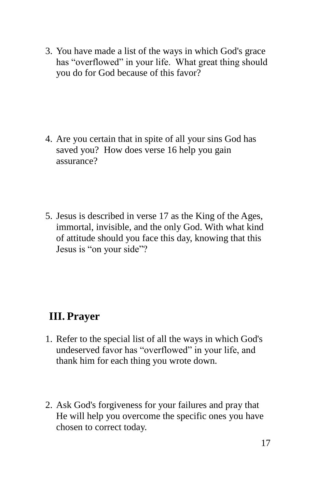3. You have made a list of the ways in which God's grace has "overflowed" in your life. What great thing should you do for God because of this favor?

- 4. Are you certain that in spite of all your sins God has saved you? How does verse 16 help you gain assurance?
- 5. Jesus is described in verse 17 as the King of the Ages, immortal, invisible, and the only God. With what kind of attitude should you face this day, knowing that this Jesus is "on your side"?

## **III. Prayer**

- 1. Refer to the special list of all the ways in which God's undeserved favor has "overflowed" in your life, and thank him for each thing you wrote down.
- 2. Ask God's forgiveness for your failures and pray that He will help you overcome the specific ones you have chosen to correct today.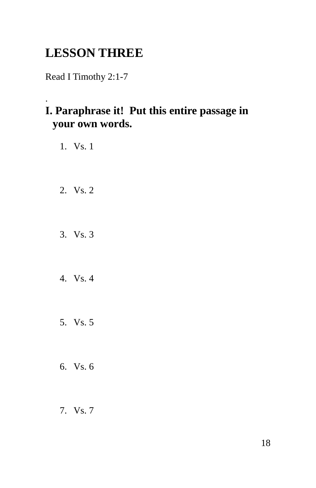# **LESSON THREE**

Read I Timothy 2:1-7

#### . **I. Paraphrase it! Put this entire passage in your own words.**

- 1. Vs. 1
- 2. Vs. 2
- 3. Vs. 3
- 4. Vs. 4
- 5. Vs. 5
- 6. Vs. 6
- 7. Vs. 7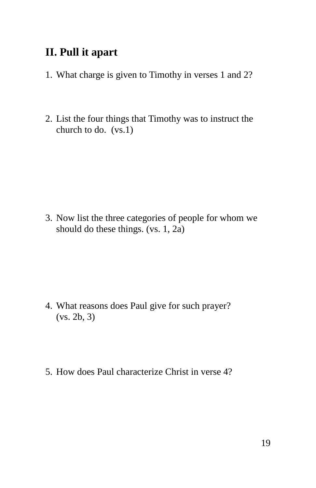#### **II. Pull it apart**

- 1. What charge is given to Timothy in verses 1 and 2?
- 2. List the four things that Timothy was to instruct the church to do. (vs.1)

3. Now list the three categories of people for whom we should do these things. (vs. 1, 2a)

- 4. What reasons does Paul give for such prayer? (vs. 2b, 3)
- 5. How does Paul characterize Christ in verse 4?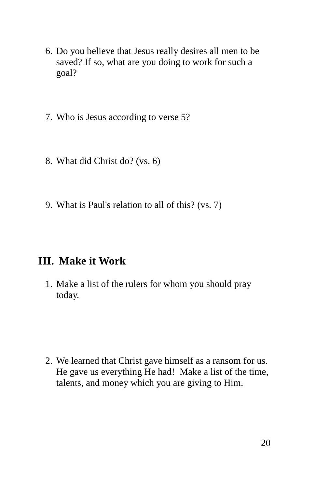- 6. Do you believe that Jesus really desires all men to be saved? If so, what are you doing to work for such a goal?
- 7. Who is Jesus according to verse 5?
- 8. What did Christ do? (vs. 6)
- 9. What is Paul's relation to all of this? (vs. 7)

## **III. Make it Work**

1. Make a list of the rulers for whom you should pray today.

2. We learned that Christ gave himself as a ransom for us. He gave us everything He had! Make a list of the time, talents, and money which you are giving to Him.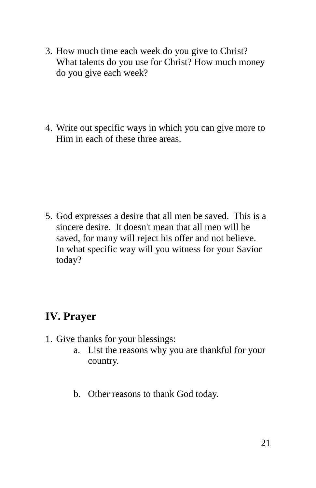- 3. How much time each week do you give to Christ? What talents do you use for Christ? How much money do you give each week?
- 4. Write out specific ways in which you can give more to Him in each of these three areas.

5. God expresses a desire that all men be saved. This is a sincere desire. It doesn't mean that all men will be saved, for many will reject his offer and not believe. In what specific way will you witness for your Savior today?

## **IV. Prayer**

- 1. Give thanks for your blessings:
	- a. List the reasons why you are thankful for your country.
	- b. Other reasons to thank God today.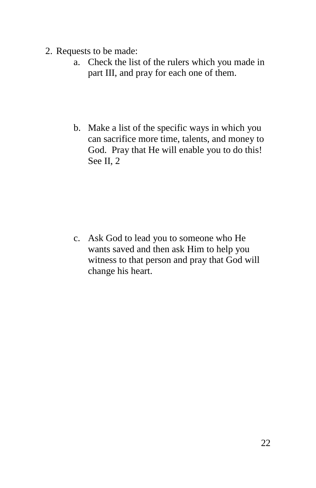- 2. Requests to be made:
	- a. Check the list of the rulers which you made in part III, and pray for each one of them.
	- b. Make a list of the specific ways in which you can sacrifice more time, talents, and money to God. Pray that He will enable you to do this! See II, 2

c. Ask God to lead you to someone who He wants saved and then ask Him to help you witness to that person and pray that God will change his heart.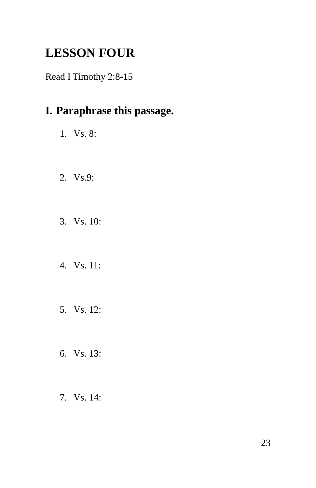# **LESSON FOUR**

Read I Timothy 2:8-15

## **I. Paraphrase this passage.**

- 1. Vs. 8:
- 2. Vs.9:
- 3. Vs. 10:
- 4. Vs. 11:
- 5. Vs. 12:
- 6. Vs. 13:
- 7. Vs. 14: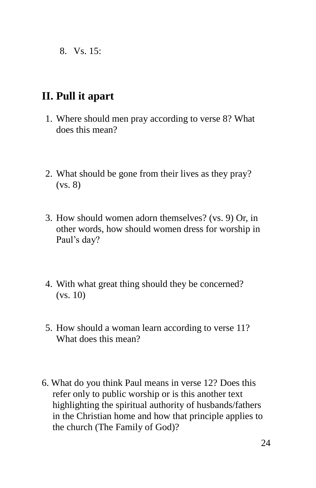8. Vs. 15:

#### **II. Pull it apart**

- 1. Where should men pray according to verse 8? What does this mean?
- 2. What should be gone from their lives as they pray? (vs. 8)
- 3. How should women adorn themselves? (vs. 9) Or, in other words, how should women dress for worship in Paul's day?
- 4. With what great thing should they be concerned? (vs. 10)
- 5. How should a woman learn according to verse 11? What does this mean?
- 6. What do you think Paul means in verse 12? Does this refer only to public worship or is this another text highlighting the spiritual authority of husbands/fathers in the Christian home and how that principle applies to the church (The Family of God)?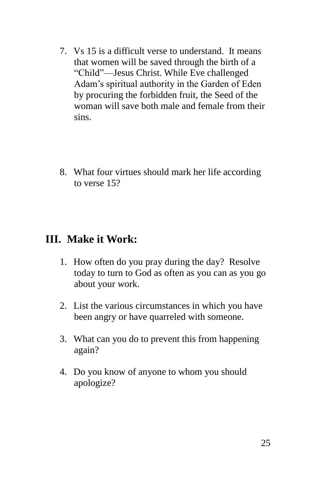- 7. Vs 15 is a difficult verse to understand. It means that women will be saved through the birth of a "Child"—Jesus Christ. While Eve challenged Adam's spiritual authority in the Garden of Eden by procuring the forbidden fruit, the Seed of the woman will save both male and female from their sins.
- 8. What four virtues should mark her life according to verse 15?

#### **III. Make it Work:**

- 1. How often do you pray during the day? Resolve today to turn to God as often as you can as you go about your work.
- 2. List the various circumstances in which you have been angry or have quarreled with someone.
- 3. What can you do to prevent this from happening again?
- 4. Do you know of anyone to whom you should apologize?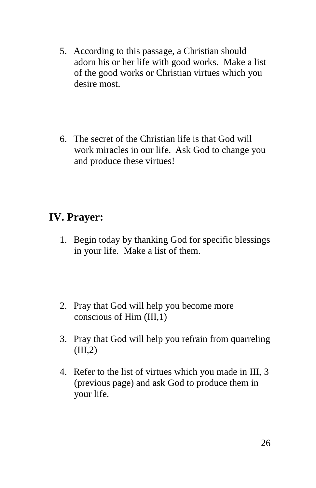- 5. According to this passage, a Christian should adorn his or her life with good works. Make a list of the good works or Christian virtues which you desire most.
- 6. The secret of the Christian life is that God will work miracles in our life. Ask God to change you and produce these virtues!

## **IV. Prayer:**

- 1. Begin today by thanking God for specific blessings in your life. Make a list of them.
- 2. Pray that God will help you become more conscious of Him (III,1)
- 3. Pray that God will help you refrain from quarreling  $(III,2)$
- 4. Refer to the list of virtues which you made in III, 3 (previous page) and ask God to produce them in your life.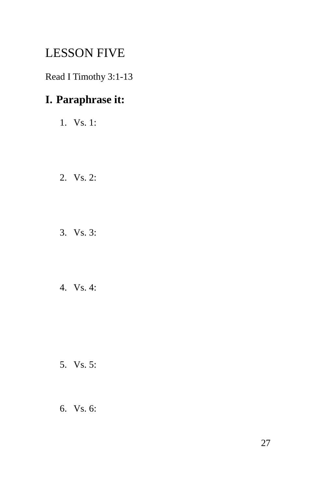## LESSON FIVE

Read I Timothy 3:1-13

## **I. Paraphrase it:**

- 1. Vs. 1:
- 2. Vs. 2:
- 3. Vs. 3:
- 4. Vs. 4:

- 5. Vs. 5:
- 6. Vs. 6: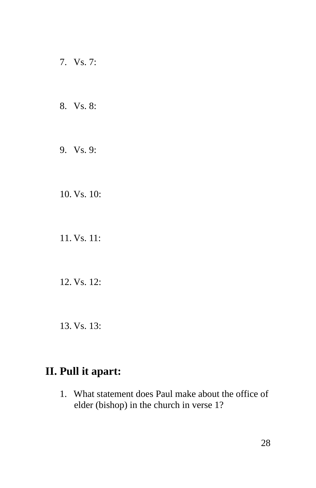- 7. Vs. 7:
- 8. Vs. 8:
- 9. Vs. 9:
- 10. Vs. 10:
- 11. Vs. 11:
- 12. Vs. 12:
- 13. Vs. 13:

#### **II. Pull it apart:**

1. What statement does Paul make about the office of elder (bishop) in the church in verse 1?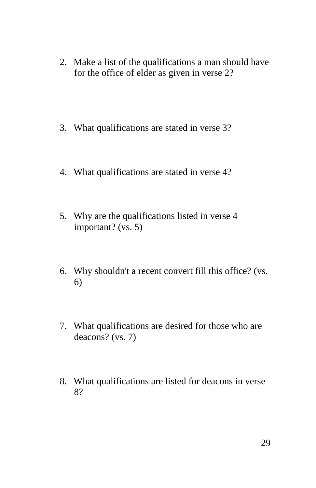- 2. Make a list of the qualifications a man should have for the office of elder as given in verse 2?
- 3. What qualifications are stated in verse 3?
- 4. What qualifications are stated in verse 4?
- 5. Why are the qualifications listed in verse 4 important? (vs. 5)
- 6. Why shouldn't a recent convert fill this office? (vs. 6)
- 7. What qualifications are desired for those who are deacons? (vs. 7)
- 8. What qualifications are listed for deacons in verse 8?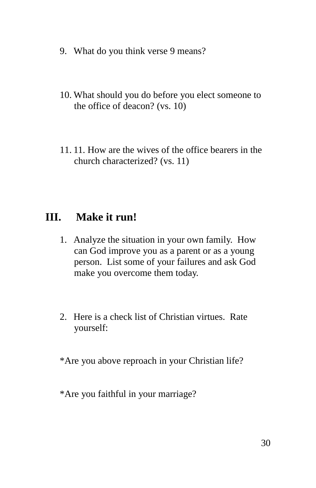- 9. What do you think verse 9 means?
- 10. What should you do before you elect someone to the office of deacon? (vs. 10)
- 11. 11. How are the wives of the office bearers in the church characterized? (vs. 11)

#### **III. Make it run!**

- 1. Analyze the situation in your own family. How can God improve you as a parent or as a young person. List some of your failures and ask God make you overcome them today.
- 2. Here is a check list of Christian virtues. Rate yourself:

\*Are you above reproach in your Christian life?

\*Are you faithful in your marriage?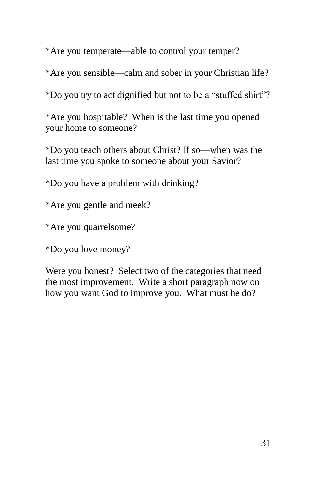\*Are you temperate—able to control your temper?

\*Are you sensible—calm and sober in your Christian life?

\*Do you try to act dignified but not to be a "stuffed shirt"?

\*Are you hospitable? When is the last time you opened your home to someone?

\*Do you teach others about Christ? If so—when was the last time you spoke to someone about your Savior?

\*Do you have a problem with drinking?

\*Are you gentle and meek?

\*Are you quarrelsome?

\*Do you love money?

Were you honest? Select two of the categories that need the most improvement. Write a short paragraph now on how you want God to improve you. What must he do?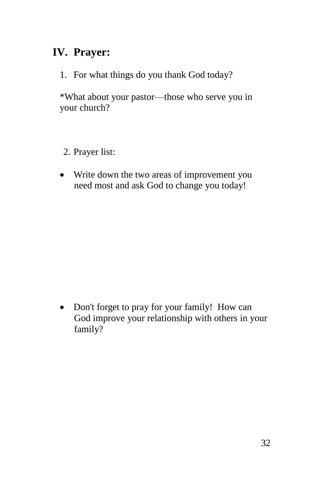## **IV. Prayer:**

1. For what things do you thank God today?

\*What about your pastor—those who serve you in your church?

- 2. Prayer list:
- Write down the two areas of improvement you need most and ask God to change you today!

• Don't forget to pray for your family! How can God improve your relationship with others in your family?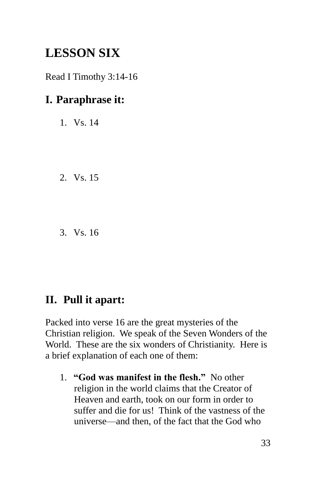# **LESSON SIX**

Read I Timothy 3:14-16

## **I. Paraphrase it:**

- 1. Vs. 14
- 2. Vs. 15
- 3. Vs. 16

#### **II. Pull it apart:**

Packed into verse 16 are the great mysteries of the Christian religion. We speak of the Seven Wonders of the World. These are the six wonders of Christianity. Here is a brief explanation of each one of them:

1. **"God was manifest in the flesh."** No other religion in the world claims that the Creator of Heaven and earth, took on our form in order to suffer and die for us! Think of the vastness of the universe—and then, of the fact that the God who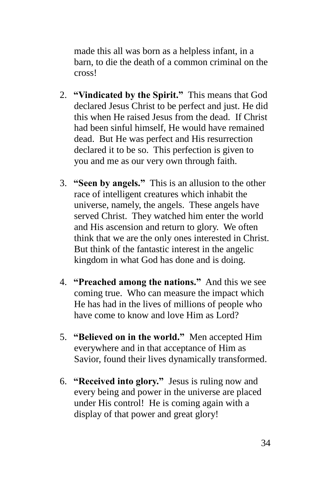made this all was born as a helpless infant, in a barn, to die the death of a common criminal on the cross!

- 2. **"Vindicated by the Spirit."** This means that God declared Jesus Christ to be perfect and just. He did this when He raised Jesus from the dead. If Christ had been sinful himself, He would have remained dead. But He was perfect and His resurrection declared it to be so. This perfection is given to you and me as our very own through faith.
- 3. **"Seen by angels."** This is an allusion to the other race of intelligent creatures which inhabit the universe, namely, the angels. These angels have served Christ. They watched him enter the world and His ascension and return to glory. We often think that we are the only ones interested in Christ. But think of the fantastic interest in the angelic kingdom in what God has done and is doing.
- 4. **"Preached among the nations."** And this we see coming true. Who can measure the impact which He has had in the lives of millions of people who have come to know and love Him as Lord?
- 5. **"Believed on in the world."** Men accepted Him everywhere and in that acceptance of Him as Savior, found their lives dynamically transformed.
- 6. **"Received into glory."** Jesus is ruling now and every being and power in the universe are placed under His control! He is coming again with a display of that power and great glory!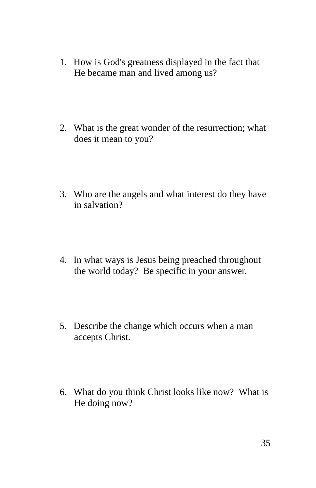- 1. How is God's greatness displayed in the fact that He became man and lived among us?
- 2. What is the great wonder of the resurrection; what does it mean to you?
- 3. Who are the angels and what interest do they have in salvation?
- 4. In what ways is Jesus being preached throughout the world today? Be specific in your answer.
- 5. Describe the change which occurs when a man accepts Christ.
- 6. What do you think Christ looks like now? What is He doing now?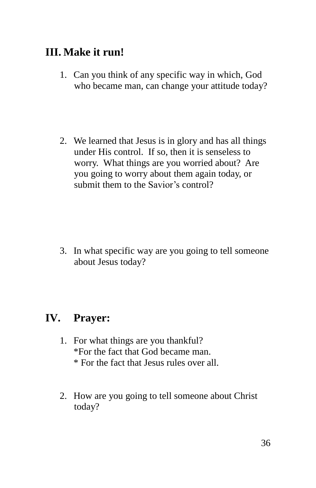## **III. Make it run!**

- 1. Can you think of any specific way in which, God who became man, can change your attitude today?
- 2. We learned that Jesus is in glory and has all things under His control. If so, then it is senseless to worry. What things are you worried about? Are you going to worry about them again today, or submit them to the Savior's control?

3. In what specific way are you going to tell someone about Jesus today?

## **IV. Prayer:**

- 1. For what things are you thankful? \*For the fact that God became man. \* For the fact that Jesus rules over all.
- 2. How are you going to tell someone about Christ today?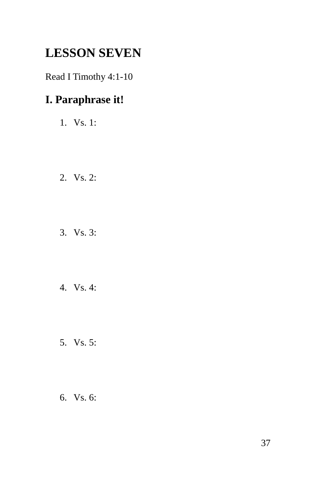# **LESSON SEVEN**

Read I Timothy 4:1-10

## **I. Paraphrase it!**

- 1. Vs. 1:
- 2. Vs. 2:
- 3. Vs. 3:
- 4. Vs. 4:
- 5. Vs. 5:
- 6. Vs. 6: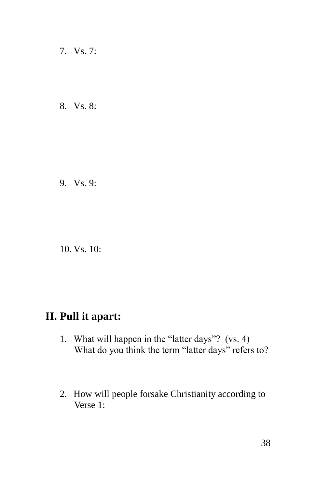- 7. Vs. 7:
- 8. Vs. 8:

9. Vs. 9:

10. Vs. 10:

#### **II. Pull it apart:**

- 1. What will happen in the "latter days"? (vs. 4) What do you think the term "latter days" refers to?
- 2. How will people forsake Christianity according to Verse 1: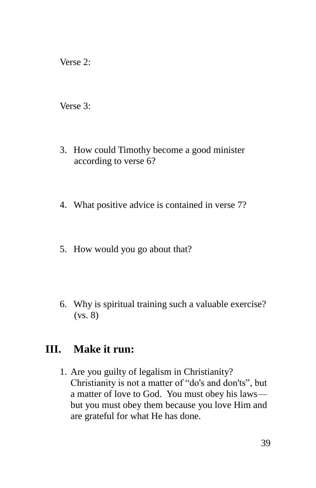Verse 2:

Verse 3:

- 3. How could Timothy become a good minister according to verse 6?
- 4. What positive advice is contained in verse 7?
- 5. How would you go about that?
- 6. Why is spiritual training such a valuable exercise? (vs. 8)

#### **III. Make it run:**

1. Are you guilty of legalism in Christianity? Christianity is not a matter of "do's and don'ts", but a matter of love to God. You must obey his laws but you must obey them because you love Him and are grateful for what He has done.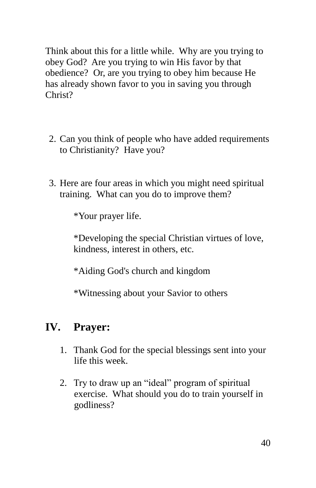Think about this for a little while. Why are you trying to obey God? Are you trying to win His favor by that obedience? Or, are you trying to obey him because He has already shown favor to you in saving you through Christ?

- 2. Can you think of people who have added requirements to Christianity? Have you?
- 3. Here are four areas in which you might need spiritual training. What can you do to improve them?

\*Your prayer life.

\*Developing the special Christian virtues of love, kindness, interest in others, etc.

\*Aiding God's church and kingdom

\*Witnessing about your Savior to others

#### **IV. Prayer:**

- 1. Thank God for the special blessings sent into your life this week.
- 2. Try to draw up an "ideal" program of spiritual exercise. What should you do to train yourself in godliness?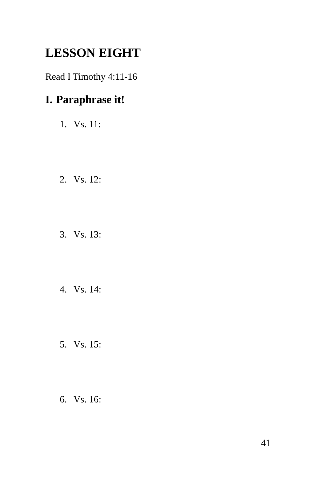# **LESSON EIGHT**

Read I Timothy 4:11-16

## **I. Paraphrase it!**

- 1. Vs. 11:
- 2. Vs. 12:
- 3. Vs. 13:
- 4. Vs. 14:
- 5. Vs. 15:
- 6. Vs. 16: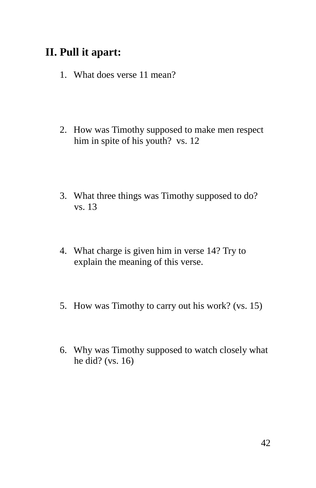## **II. Pull it apart:**

- 1. What does verse 11 mean?
- 2. How was Timothy supposed to make men respect him in spite of his youth? vs. 12
- 3. What three things was Timothy supposed to do? vs. 13
- 4. What charge is given him in verse 14? Try to explain the meaning of this verse.
- 5. How was Timothy to carry out his work? (vs. 15)
- 6. Why was Timothy supposed to watch closely what he did? (vs. 16)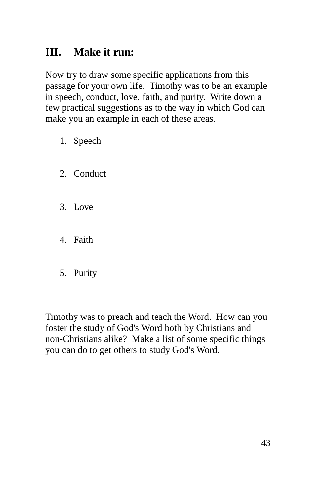## **III. Make it run:**

Now try to draw some specific applications from this passage for your own life. Timothy was to be an example in speech, conduct, love, faith, and purity. Write down a few practical suggestions as to the way in which God can make you an example in each of these areas.

- 1. Speech
- 2. Conduct
- 3. Love
- 4. Faith
- 5. Purity

Timothy was to preach and teach the Word. How can you foster the study of God's Word both by Christians and non-Christians alike? Make a list of some specific things you can do to get others to study God's Word.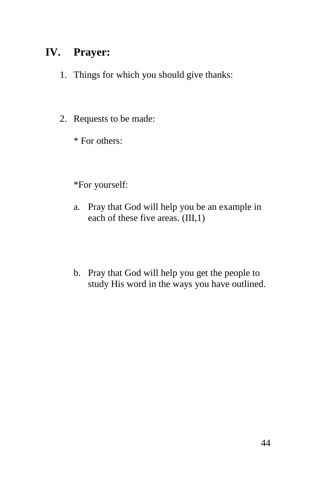## **IV. Prayer:**

- 1. Things for which you should give thanks:
- 2. Requests to be made:
	- \* For others:

#### \*For yourself:

- a. Pray that God will help you be an example in each of these five areas. (III,1)
- b. Pray that God will help you get the people to study His word in the ways you have outlined.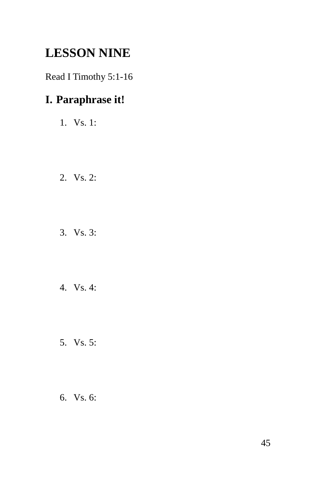# **LESSON NINE**

Read I Timothy 5:1-16

## **I. Paraphrase it!**

- 1. Vs. 1:
- 2. Vs. 2:
- 3. Vs. 3:
- 4. Vs. 4:
- 5. Vs. 5:
- 6. Vs. 6: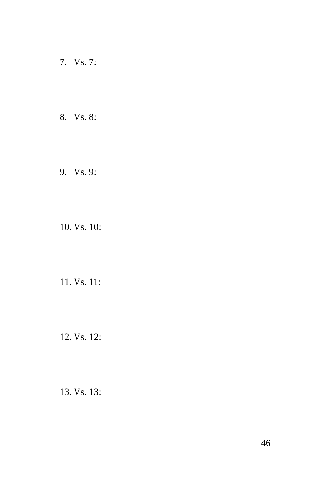- 7. Vs. 7:
- 8. Vs. 8:
- 9. Vs. 9:

10. Vs. 10:

11. Vs. 11:

12. Vs. 12:

13. Vs. 13: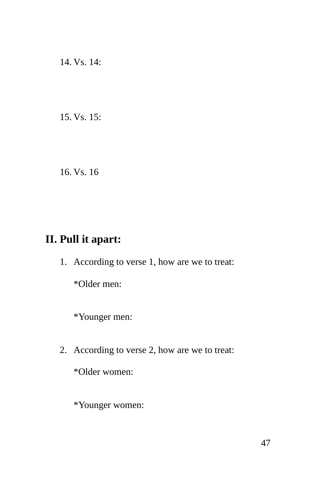14. Vs. 14:

15. Vs. 15:

16. Vs. 16

## **II. Pull it apart:**

1. According to verse 1, how are we to treat:

\*Older men:

\*Younger men:

2. According to verse 2, how are we to treat:

\*Older women:

\*Younger women: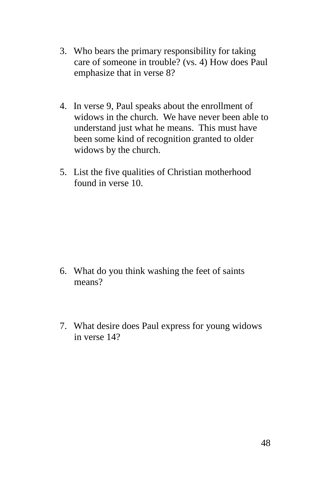- 3. Who bears the primary responsibility for taking care of someone in trouble? (vs. 4) How does Paul emphasize that in verse 8?
- 4. In verse 9, Paul speaks about the enrollment of widows in the church. We have never been able to understand just what he means. This must have been some kind of recognition granted to older widows by the church.
- 5. List the five qualities of Christian motherhood found in verse 10.

- 6. What do you think washing the feet of saints means?
- 7. What desire does Paul express for young widows in verse 14?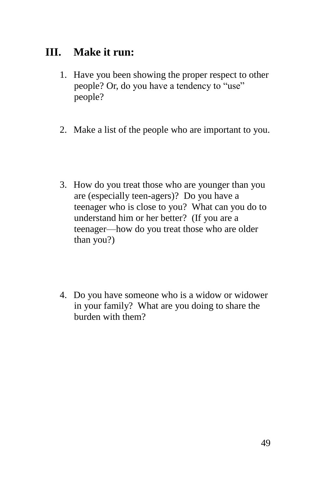## **III. Make it run:**

- 1. Have you been showing the proper respect to other people? Or, do you have a tendency to "use" people?
- 2. Make a list of the people who are important to you.
- 3. How do you treat those who are younger than you are (especially teen-agers)? Do you have a teenager who is close to you? What can you do to understand him or her better? (If you are a teenager—how do you treat those who are older than you?)
- 4. Do you have someone who is a widow or widower in your family? What are you doing to share the burden with them?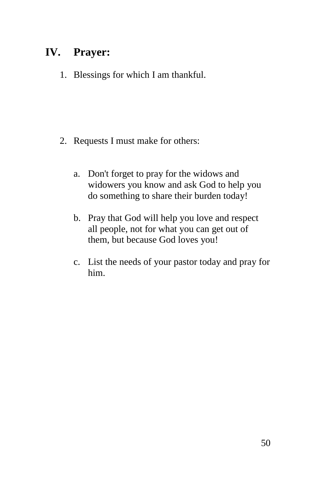## **IV. Prayer:**

1. Blessings for which I am thankful.

- 2. Requests I must make for others:
	- a. Don't forget to pray for the widows and widowers you know and ask God to help you do something to share their burden today!
	- b. Pray that God will help you love and respect all people, not for what you can get out of them, but because God loves you!
	- c. List the needs of your pastor today and pray for him.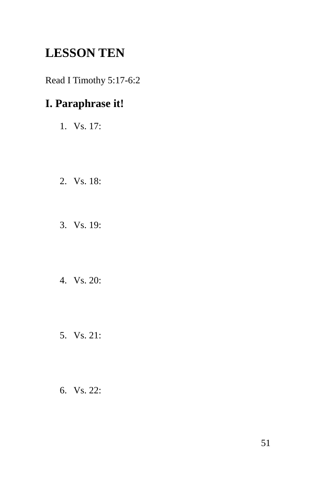# **LESSON TEN**

Read I Timothy 5:17-6:2

## **I. Paraphrase it!**

- 1. Vs. 17:
- 2. Vs. 18:
- 3. Vs. 19:
- 4. Vs. 20:
- 5. Vs. 21:
- 6. Vs. 22: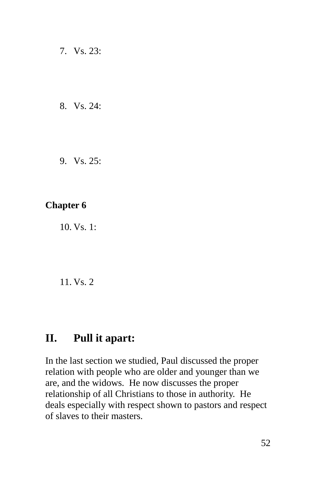7. Vs. 23:

8. Vs. 24:

9. Vs. 25:

#### **Chapter 6**

10. Vs. 1:

11. Vs. 2

#### **II. Pull it apart:**

In the last section we studied, Paul discussed the proper relation with people who are older and younger than we are, and the widows. He now discusses the proper relationship of all Christians to those in authority. He deals especially with respect shown to pastors and respect of slaves to their masters.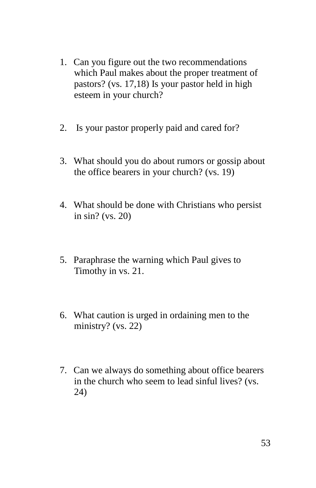- 1. Can you figure out the two recommendations which Paul makes about the proper treatment of pastors? (vs. 17,18) Is your pastor held in high esteem in your church?
- 2. Is your pastor properly paid and cared for?
- 3. What should you do about rumors or gossip about the office bearers in your church? (vs. 19)
- 4. What should be done with Christians who persist in sin? (vs. 20)
- 5. Paraphrase the warning which Paul gives to Timothy in vs. 21.
- 6. What caution is urged in ordaining men to the ministry? (vs. 22)
- 7. Can we always do something about office bearers in the church who seem to lead sinful lives? (vs. 24)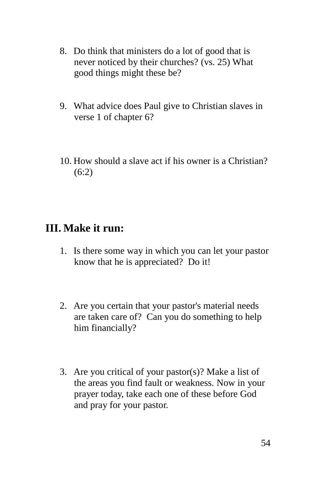- 8. Do think that ministers do a lot of good that is never noticed by their churches? (vs. 25) What good things might these be?
- 9. What advice does Paul give to Christian slaves in verse 1 of chapter 6?
- 10. How should a slave act if his owner is a Christian? (6:2)

#### **III. Make it run:**

- 1. Is there some way in which you can let your pastor know that he is appreciated? Do it!
- 2. Are you certain that your pastor's material needs are taken care of? Can you do something to help him financially?
- 3. Are you critical of your pastor(s)? Make a list of the areas you find fault or weakness. Now in your prayer today, take each one of these before God and pray for your pastor.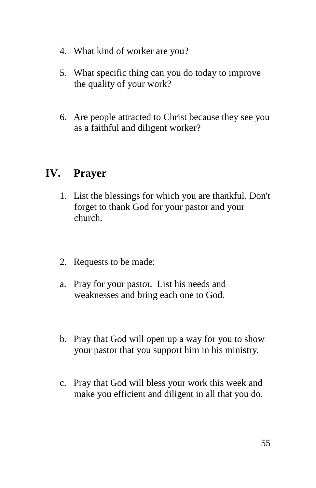- 4. What kind of worker are you?
- 5. What specific thing can you do today to improve the quality of your work?
- 6. Are people attracted to Christ because they see you as a faithful and diligent worker?

#### **IV. Prayer**

- 1. List the blessings for which you are thankful. Don't forget to thank God for your pastor and your church.
- 2. Requests to be made:
- a. Pray for your pastor. List his needs and weaknesses and bring each one to God.
- b. Pray that God will open up a way for you to show your pastor that you support him in his ministry.
- c. Pray that God will bless your work this week and make you efficient and diligent in all that you do.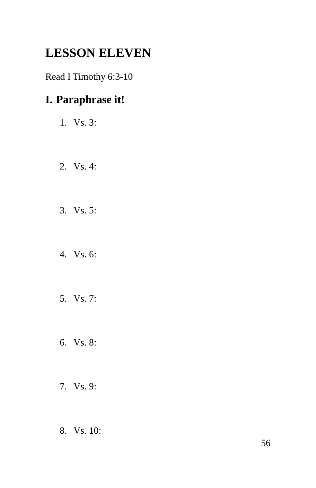# **LESSON ELEVEN**

Read I Timothy 6:3-10

## **I. Paraphrase it!**

- 1. Vs. 3:
- 2. Vs. 4:
- 3. Vs. 5:
- 4. Vs. 6:
- 5. Vs. 7:
- 6. Vs. 8:
- 7. Vs. 9:
- 8. Vs. 10: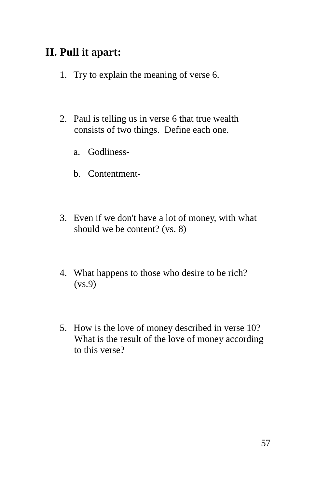## **II. Pull it apart:**

- 1. Try to explain the meaning of verse 6.
- 2. Paul is telling us in verse 6 that true wealth consists of two things. Define each one.
	- a. Godliness-
	- b. Contentment-
- 3. Even if we don't have a lot of money, with what should we be content? (vs. 8)
- 4. What happens to those who desire to be rich? (vs.9)
- 5. How is the love of money described in verse 10? What is the result of the love of money according to this verse?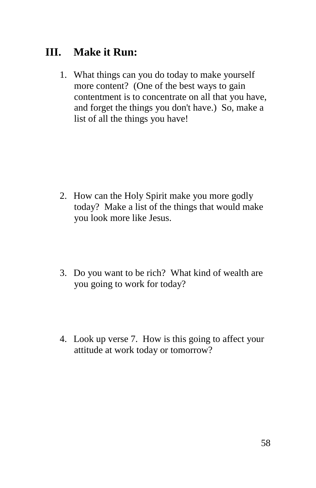## **III. Make it Run:**

1. What things can you do today to make yourself more content? (One of the best ways to gain contentment is to concentrate on all that you have, and forget the things you don't have.) So, make a list of all the things you have!

- 2. How can the Holy Spirit make you more godly today? Make a list of the things that would make you look more like Jesus.
- 3. Do you want to be rich? What kind of wealth are you going to work for today?
- 4. Look up verse 7. How is this going to affect your attitude at work today or tomorrow?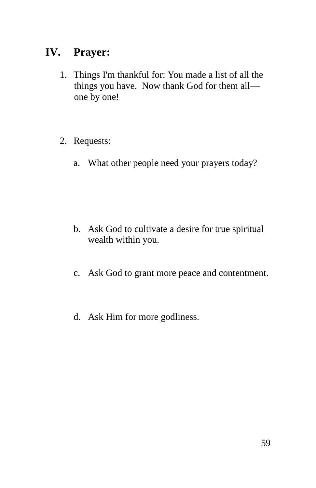## **IV. Prayer:**

- 1. Things I'm thankful for: You made a list of all the things you have. Now thank God for them all one by one!
- 2. Requests:
	- a. What other people need your prayers today?

- b. Ask God to cultivate a desire for true spiritual wealth within you.
- c. Ask God to grant more peace and contentment.
- d. Ask Him for more godliness.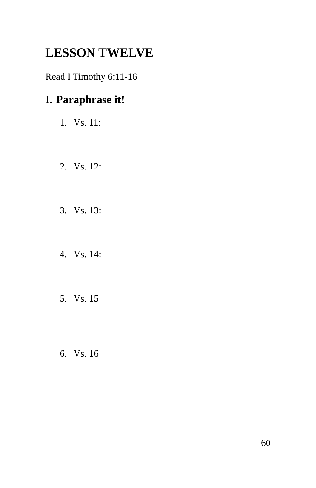# **LESSON TWELVE**

Read I Timothy 6:11-16

## **I. Paraphrase it!**

- 1. Vs. 11:
- 2. Vs. 12:
- 3. Vs. 13:
- 4. Vs. 14:
- 5. Vs. 15
- 6. Vs. 16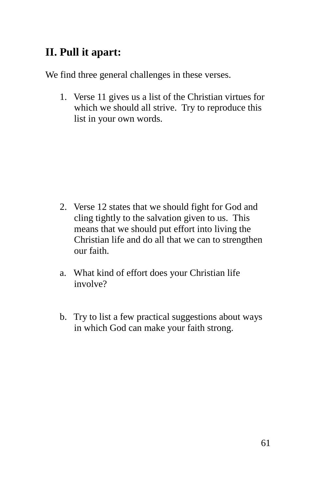## **II. Pull it apart:**

We find three general challenges in these verses.

1. Verse 11 gives us a list of the Christian virtues for which we should all strive. Try to reproduce this list in your own words.

- 2. Verse 12 states that we should fight for God and cling tightly to the salvation given to us. This means that we should put effort into living the Christian life and do all that we can to strengthen our faith.
- a. What kind of effort does your Christian life involve?
- b. Try to list a few practical suggestions about ways in which God can make your faith strong.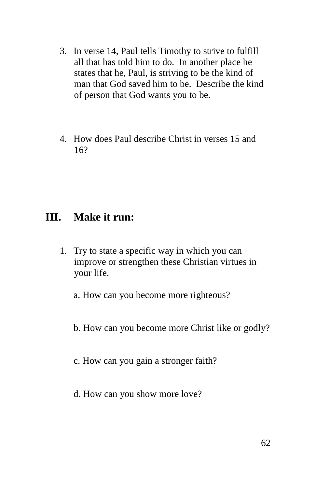- 3. In verse 14, Paul tells Timothy to strive to fulfill all that has told him to do. In another place he states that he, Paul, is striving to be the kind of man that God saved him to be. Describe the kind of person that God wants you to be.
- 4. How does Paul describe Christ in verses 15 and 16?

#### **III. Make it run:**

1. Try to state a specific way in which you can improve or strengthen these Christian virtues in your life.

a. How can you become more righteous?

b. How can you become more Christ like or godly?

c. How can you gain a stronger faith?

d. How can you show more love?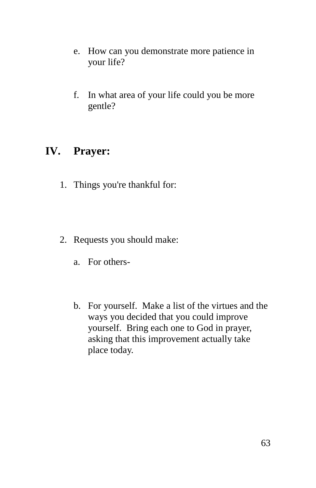- e. How can you demonstrate more patience in your life?
- f. In what area of your life could you be more gentle?

#### **IV. Prayer:**

- 1. Things you're thankful for:
- 2. Requests you should make:
	- a. For others-
	- b. For yourself. Make a list of the virtues and the ways you decided that you could improve yourself. Bring each one to God in prayer, asking that this improvement actually take place today.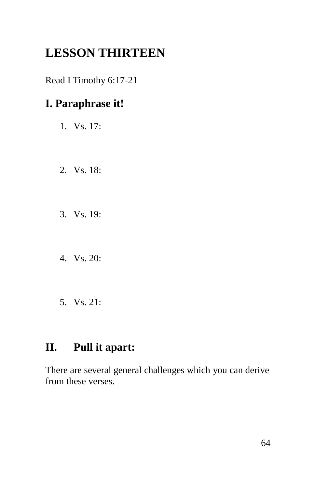# **LESSON THIRTEEN**

Read I Timothy 6:17-21

## **I. Paraphrase it!**

- 1. Vs. 17:
- 2. Vs. 18:
- 3. Vs. 19:
- 4. Vs. 20:
- 5. Vs. 21:

## **II. Pull it apart:**

There are several general challenges which you can derive from these verses.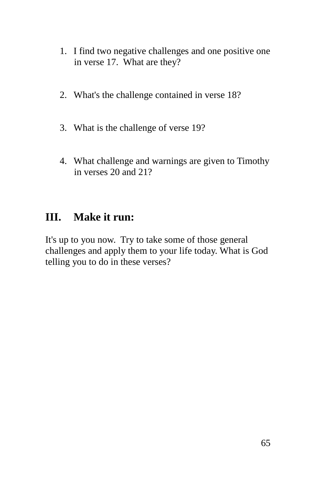- 1. I find two negative challenges and one positive one in verse 17. What are they?
- 2. What's the challenge contained in verse 18?
- 3. What is the challenge of verse 19?
- 4. What challenge and warnings are given to Timothy in verses 20 and 21?

## **III. Make it run:**

It's up to you now. Try to take some of those general challenges and apply them to your life today. What is God telling you to do in these verses?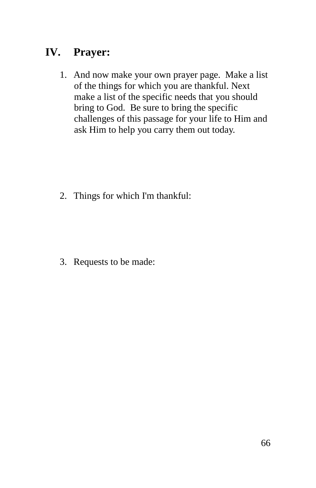## **IV. Prayer:**

1. And now make your own prayer page. Make a list of the things for which you are thankful. Next make a list of the specific needs that you should bring to God. Be sure to bring the specific challenges of this passage for your life to Him and ask Him to help you carry them out today.

2. Things for which I'm thankful:

3. Requests to be made: